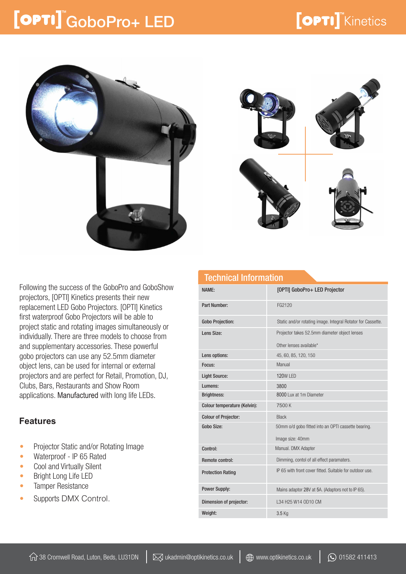### [OPTI] GoboPro+ LED



Technical Information

Following the success of the GoboPro and GoboShow projectors, [OPTI] Kinetics presents their new replacement LED Gobo Projectors. [OPTI] Kinetics first waterproof Gobo Projectors will be able to project static and rotating images simultaneously or individually. There are three models to choose from and supplementary accessories. These powerful gobo projectors can use any 52.5mm diameter object lens, can be used for internal or external projectors and are perfect for Retail, Promotion, DJ, Clubs, Bars, Restaurants and Show Room applications. Manufactured with long life LEDs.

#### **Features**

- Projector Static and/or Rotating Image
- Waterproof IP 65 Rated
- Cool and Virtually Silent
- Bright Long Life LED
- Tamper Resistance
- Supports DMX Control.

| וסטווווטמו ווווטוווומנוטוו   |                                                                          |
|------------------------------|--------------------------------------------------------------------------|
| NAME:                        | [OPTI] GoboPro+ LED Projector                                            |
| Part Number:                 | FG2120                                                                   |
| <b>Gobo Projection:</b>      | Static and/or rotating image. Integral Rotator for Cassette.             |
| Lens Size:                   | Projector takes 52.5mm diameter object lenses<br>Other lenses available* |
| Lens options:                | 45, 60, 85, 120, 150                                                     |
| Focus:                       | Manual                                                                   |
| <b>Light Source:</b>         | <b>120W LED</b>                                                          |
| Lumens:                      | 3800                                                                     |
| <b>Brightness:</b>           | 8000 Lux at 1m Diameter                                                  |
| Colour temperature (Kelvin): | 7500K                                                                    |
| <b>Colour of Projector:</b>  | <b>Black</b>                                                             |
| Gobo Size:                   | 50mm o/d gobo fitted into an OPTI cassette bearing.<br>Image size: 40mm  |
| Control:                     | Manual. DMX Adapter                                                      |
| <b>Remote control:</b>       | Dimming, contol of all effect paramaters.                                |
| <b>Protection Rating</b>     | IP 65 with front cover fitted. Suitable for outdoor use.                 |
| <b>Power Supply:</b>         | Mains adaptor 28V at 5A. (Adaptors not to IP 65).                        |
| Dimension of projector:      | L34 H25 W14 OD10 CM                                                      |
| Weight:                      | 3.5 Kg                                                                   |
|                              |                                                                          |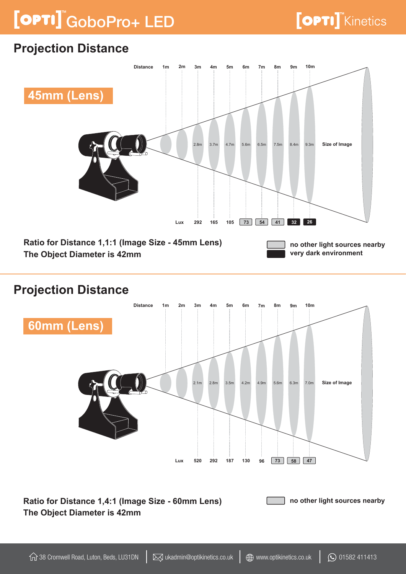# GoboPro+ LED

### **Projection Distance**



#### **Projection Distance**



**Ratio for Distance 1,4:1 (Image Size - 60mm Lens) The Object Diameter is 42mm no other light sources nearby**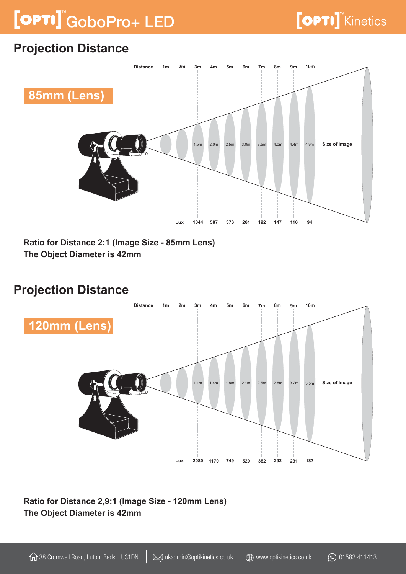# GoboPro+ LED

### **Projection Distance**



**Ratio for Distance 2:1 (Image Size - 85mm Lens) The Object Diameter is 42mm** 

#### **Projection Distance**



**Ratio for Distance 2,9:1 (Image Size - 120mm Lens) The Object Diameter is 42mm**